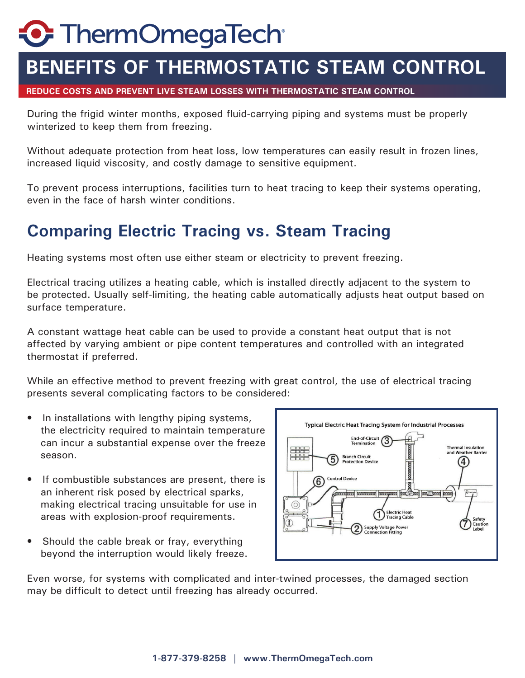# **C** ThermOmegaTech

# **BENEFITS OF THERMOSTATIC STEAM CONTROL**

**REDUCE COSTS AND PREVENT LIVE STEAM LOSSES WITH THERMOSTATIC STEAM CONTROL**

During the frigid winter months, exposed fluid-carrying piping and systems must be properly winterized to keep them from freezing.

Without adequate protection from heat loss, low temperatures can easily result in frozen lines, increased liquid viscosity, and costly damage to sensitive equipment.

To prevent process interruptions, facilities turn to heat tracing to keep their systems operating, even in the face of harsh winter conditions.

### **Comparing Electric Tracing vs. Steam Tracing**

Heating systems most often use either steam or electricity to prevent freezing.

Electrical tracing utilizes a heating cable, which is installed directly adjacent to the system to be protected. Usually self-limiting, the heating cable automatically adjusts heat output based on surface temperature.

A constant wattage heat cable can be used to provide a constant heat output that is not affected by varying ambient or pipe content temperatures and controlled with an integrated thermostat if preferred.

While an effective method to prevent freezing with great control, the use of electrical tracing presents several complicating factors to be considered:

- In installations with lengthy piping systems, the electricity required to maintain temperature can incur a substantial expense over the freeze season.
- If combustible substances are present, there is an inherent risk posed by electrical sparks, making electrical tracing unsuitable for use in areas with explosion-proof requirements.
- Should the cable break or fray, everything beyond the interruption would likely freeze.



Even worse, for systems with complicated and inter-twined processes, the damaged section may be difficult to detect until freezing has already occurred.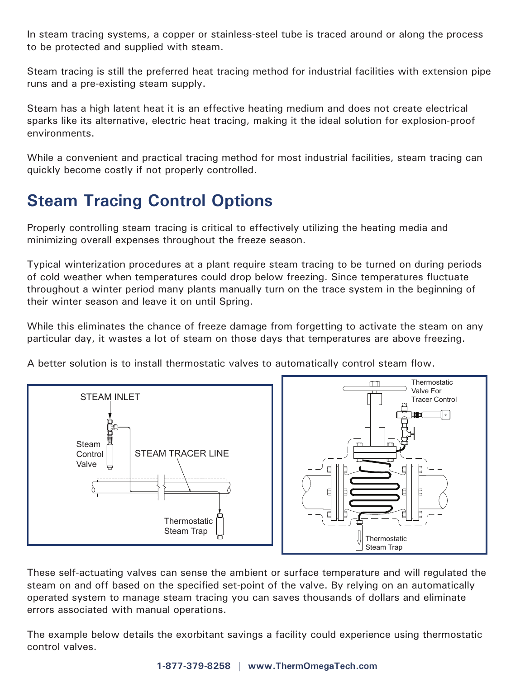In steam tracing systems, a copper or stainless-steel tube is traced around or along the process to be protected and supplied with steam.

Steam tracing is still the preferred heat tracing method for industrial facilities with extension pipe runs and a pre-existing steam supply.

Steam has a high latent heat it is an effective heating medium and does not create electrical sparks like its alternative, electric heat tracing, making it the ideal solution for explosion-proof environments.

While a convenient and practical tracing method for most industrial facilities, steam tracing can quickly become costly if not properly controlled.

# **Steam Tracing Control Options**

Properly controlling steam tracing is critical to effectively utilizing the heating media and minimizing overall expenses throughout the freeze season.

Typical winterization procedures at a plant require steam tracing to be turned on during periods of cold weather when temperatures could drop below freezing. Since temperatures fluctuate throughout a winter period many plants manually turn on the trace system in the beginning of their winter season and leave it on until Spring.

While this eliminates the chance of freeze damage from forgetting to activate the steam on any particular day, it wastes a lot of steam on those days that temperatures are above freezing.

A better solution is to install thermostatic valves to automatically control steam flow.



These self-actuating valves can sense the ambient or surface temperature and will regulated the steam on and off based on the specified set-point of the valve. By relying on an automatically operated system to manage steam tracing you can saves thousands of dollars and eliminate errors associated with manual operations.

The example below details the exorbitant savings a facility could experience using thermostatic control valves.

**1-877-379-8258 | www.ThermOmegaTech.com**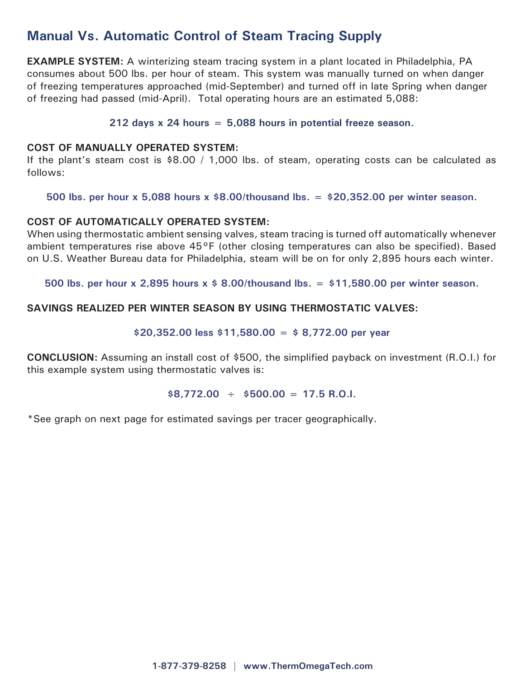### **Manual Vs. Automatic Control of Steam Tracing Supply**

**EXAMPLE SYSTEM:** A winterizing steam tracing system in a plant located in Philadelphia, PA consumes about 500 lbs. per hour of steam. This system was manually turned on when danger of freezing temperatures approached (mid-September) and turned off in late Spring when danger of freezing had passed (mid-April). Total operating hours are an estimated 5,088:

#### **212 days x 24 hours = 5,088 hours in potential freeze season.**

#### **COST OF MANUALLY OPERATED SYSTEM:**

If the plant's steam cost is \$8.00 / 1,000 lbs. of steam, operating costs can be calculated as follows:

**500 lbs. per hour x 5,088 hours x \$8.00/thousand lbs. = \$20,352.00 per winter season.**

#### **COST OF AUTOMATICALLY OPERATED SYSTEM:**

When using thermostatic ambient sensing valves, steam tracing is turned off automatically whenever ambient temperatures rise above 45°F (other closing temperatures can also be specified). Based on U.S. Weather Bureau data for Philadelphia, steam will be on for only 2,895 hours each winter.

**500 lbs. per hour x 2,895 hours x \$ 8.00/thousand lbs. = \$11,580.00 per winter season.**

#### **SAVINGS REALIZED PER WINTER SEASON BY USING THERMOSTATIC VALVES:**

#### **\$20,352.00 less \$11,580.00 = \$ 8,772.00 per year**

**CONCLUSION:** Assuming an install cost of \$500, the simplified payback on investment (R.O.I.) for this example system using thermostatic valves is:

**\$8,772.00 ÷ \$500.00 = 17.5 R.O.I.**

\*See graph on next page for estimated savings per tracer geographically.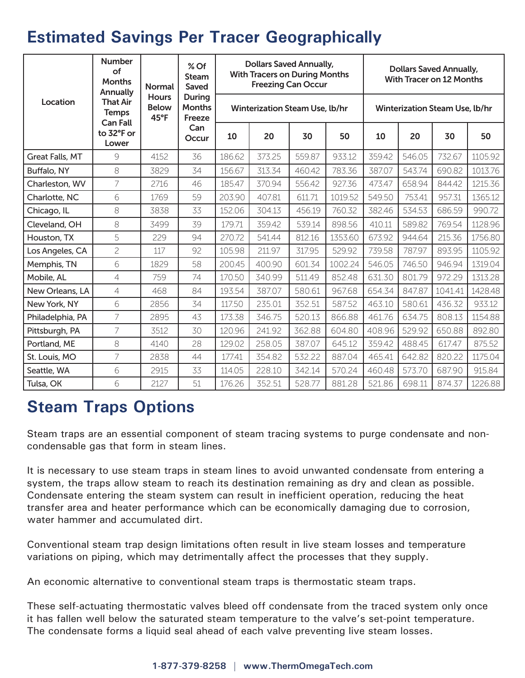## **Estimated Savings Per Tracer Geographically**

| Location         | <b>Number</b><br>of<br><b>Months</b><br><b>Annually</b><br><b>That Air</b><br><b>Temps</b><br><b>Can Fall</b><br>to 32°F or<br>Lower | <b>Normal</b><br><b>Hours</b><br><b>Below</b><br>45°F | % Of<br><b>Steam</b><br>Saved<br><b>During</b><br><b>Months</b><br>Freeze<br>Can<br>Occur | <b>Dollars Saved Annually,</b><br><b>With Tracers on During Months</b><br><b>Freezing Can Occur</b> |        |        |         | <b>Dollars Saved Annually,</b><br><b>With Tracer on 12 Months</b> |        |         |         |
|------------------|--------------------------------------------------------------------------------------------------------------------------------------|-------------------------------------------------------|-------------------------------------------------------------------------------------------|-----------------------------------------------------------------------------------------------------|--------|--------|---------|-------------------------------------------------------------------|--------|---------|---------|
|                  |                                                                                                                                      |                                                       |                                                                                           | <b>Winterization Steam Use, lb/hr</b>                                                               |        |        |         | <b>Winterization Steam Use, lb/hr</b>                             |        |         |         |
|                  |                                                                                                                                      |                                                       |                                                                                           | 10                                                                                                  | 20     | 30     | 50      | 10                                                                | 20     | 30      | 50      |
| Great Falls, MT  | 9                                                                                                                                    | 4152                                                  | 36                                                                                        | 186.62                                                                                              | 373.25 | 559.87 | 933.12  | 359.42                                                            | 546.05 | 732.67  | 1105.92 |
| Buffalo, NY      | 8                                                                                                                                    | 3829                                                  | 34                                                                                        | 156.67                                                                                              | 313.34 | 460.42 | 783.36  | 387.07                                                            | 543.74 | 690.82  | 1013.76 |
| Charleston, WV   | 7                                                                                                                                    | 2716                                                  | 46                                                                                        | 185.47                                                                                              | 370.94 | 556.42 | 927.36  | 473.47                                                            | 658.94 | 844.42  | 1215.36 |
| Charlotte, NC    | 6                                                                                                                                    | 1769                                                  | 59                                                                                        | 203.90                                                                                              | 407.81 | 611.71 | 1019.52 | 549.50                                                            | 753.41 | 957.31  | 1365.12 |
| Chicago, IL      | 8                                                                                                                                    | 3838                                                  | 33                                                                                        | 152.06                                                                                              | 304.13 | 456.19 | 760.32  | 382.46                                                            | 534.53 | 686.59  | 990.72  |
| Cleveland, OH    | 8                                                                                                                                    | 3499                                                  | 39                                                                                        | 179.71                                                                                              | 359.42 | 539.14 | 898.56  | 410.11                                                            | 589.82 | 769.54  | 1128.96 |
| Houston, TX      | 5                                                                                                                                    | 229                                                   | 94                                                                                        | 270.72                                                                                              | 541.44 | 812.16 | 1353.60 | 673.92                                                            | 944.64 | 215.36  | 1756.80 |
| Los Angeles, CA  | $\overline{c}$                                                                                                                       | 117                                                   | 92                                                                                        | 105.98                                                                                              | 211.97 | 317.95 | 529.92  | 739.58                                                            | 787.97 | 893.95  | 1105.92 |
| Memphis, TN      | 6                                                                                                                                    | 1829                                                  | 58                                                                                        | 200.45                                                                                              | 400.90 | 601.34 | 1002.24 | 546.05                                                            | 746.50 | 946.94  | 1319.04 |
| Mobile, AL       | $\overline{4}$                                                                                                                       | 759                                                   | 74                                                                                        | 170.50                                                                                              | 340.99 | 511.49 | 852.48  | 631.30                                                            | 801.79 | 972.29  | 1313.28 |
| New Orleans, LA  | 4                                                                                                                                    | 468                                                   | 84                                                                                        | 193.54                                                                                              | 387.07 | 580.61 | 967.68  | 654.34                                                            | 847.87 | 1041.41 | 1428.48 |
| New York, NY     | 6                                                                                                                                    | 2856                                                  | 34                                                                                        | 117.50                                                                                              | 235.01 | 352.51 | 587.52  | 463.10                                                            | 580.61 | 436.32  | 933.12  |
| Philadelphia, PA | 7                                                                                                                                    | 2895                                                  | 43                                                                                        | 173.38                                                                                              | 346.75 | 520.13 | 866.88  | 461.76                                                            | 634.75 | 808.13  | 1154.88 |
| Pittsburgh, PA   | $\overline{7}$                                                                                                                       | 3512                                                  | 30                                                                                        | 120.96                                                                                              | 241.92 | 362.88 | 604.80  | 408.96                                                            | 529.92 | 650.88  | 892.80  |
| Portland, ME     | 8                                                                                                                                    | 4140                                                  | 28                                                                                        | 129.02                                                                                              | 258.05 | 387.07 | 645.12  | 359.42                                                            | 488.45 | 617.47  | 875.52  |
| St. Louis, MO    | 7                                                                                                                                    | 2838                                                  | 44                                                                                        | 177.41                                                                                              | 354.82 | 532.22 | 887.04  | 465.41                                                            | 642.82 | 820.22  | 1175.04 |
| Seattle, WA      | 6                                                                                                                                    | 2915                                                  | 33                                                                                        | 114.05                                                                                              | 228.10 | 342.14 | 570.24  | 460.48                                                            | 573.70 | 687.90  | 915.84  |
| Tulsa, OK        | 6                                                                                                                                    | 2127                                                  | 51                                                                                        | 176.26                                                                                              | 352.51 | 528.77 | 881.28  | 521.86                                                            | 698.11 | 874.37  | 1226.88 |

### **Steam Traps Options**

Steam traps are an essential component of steam tracing systems to purge condensate and noncondensable gas that form in steam lines.

It is necessary to use steam traps in steam lines to avoid unwanted condensate from entering a system, the traps allow steam to reach its destination remaining as dry and clean as possible. Condensate entering the steam system can result in inefficient operation, reducing the heat transfer area and heater performance which can be economically damaging due to corrosion, water hammer and accumulated dirt.

Conventional steam trap design limitations often result in live steam losses and temperature variations on piping, which may detrimentally affect the processes that they supply.

An economic alternative to conventional steam traps is thermostatic steam traps.

These self-actuating thermostatic valves bleed off condensate from the traced system only once it has fallen well below the saturated steam temperature to the valve's set-point temperature. The condensate forms a liquid seal ahead of each valve preventing live steam losses.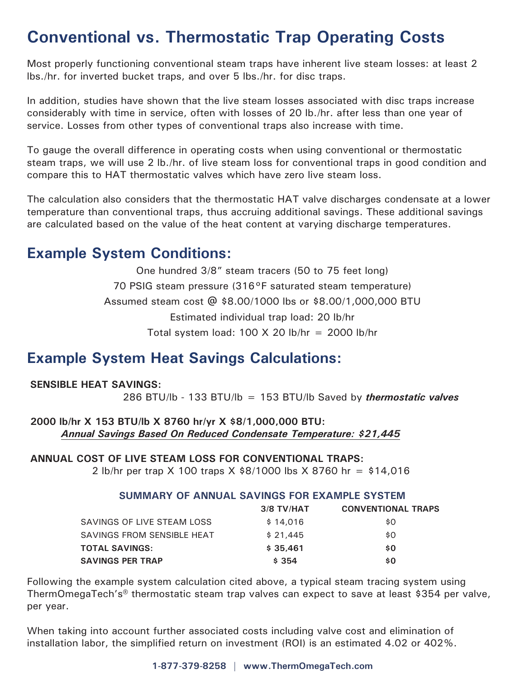### **Conventional vs. Thermostatic Trap Operating Costs**

Most properly functioning conventional steam traps have inherent live steam losses: at least 2 lbs./hr. for inverted bucket traps, and over 5 lbs./hr. for disc traps.

In addition, studies have shown that the live steam losses associated with disc traps increase considerably with time in service, often with losses of 20 lb./hr. after less than one year of service. Losses from other types of conventional traps also increase with time.

To gauge the overall difference in operating costs when using conventional or thermostatic steam traps, we will use 2 lb./hr. of live steam loss for conventional traps in good condition and compare this to HAT thermostatic valves which have zero live steam loss.

The calculation also considers that the thermostatic HAT valve discharges condensate at a lower temperature than conventional traps, thus accruing additional savings. These additional savings are calculated based on the value of the heat content at varying discharge temperatures.

### **Example System Conditions:**

One hundred 3/8" steam tracers (50 to 75 feet long) 70 PSIG steam pressure (316°F saturated steam temperature) Assumed steam cost @ \$8.00/1000 lbs or \$8.00/1,000,000 BTU Estimated individual trap load: 20 lb/hr Total system load:  $100 \times 20$  lb/hr =  $2000$  lb/hr

### **Example System Heat Savings Calculations:**

### **SENSIBLE HEAT SAVINGS:**

286 BTU/lb - 133 BTU/lb = 153 BTU/lb Saved by *thermostatic valves*

### **2000 lb/hr X 153 BTU/lb X 8760 hr/yr X \$8/1,000,000 BTU:** *Annual Savings Based On Reduced Condensate Temperature: \$21,445*

### **ANNUAL COST OF LIVE STEAM LOSS FOR CONVENTIONAL TRAPS:**

2 lb/hr per trap X 100 traps X \$8/1000 lbs X 8760 hr = \$14,016

#### **SUMMARY OF ANNUAL SAVINGS FOR EXAMPLE SYSTEM**

|                            | $3/8$ TV/HAT | <b>CONVENTIONAL TRAPS</b> |
|----------------------------|--------------|---------------------------|
| SAVINGS OF LIVE STEAM LOSS | \$14.016     | \$0                       |
| SAVINGS FROM SENSIBLE HEAT | \$21.445     | \$O                       |
| TOTAL SAVINGS:             | \$35.461     | \$0                       |
| <b>SAVINGS PER TRAP</b>    | \$354        | \$0                       |

Following the example system calculation cited above, a typical steam tracing system using ThermOmegaTech's® thermostatic steam trap valves can expect to save at least \$354 per valve, per year.

When taking into account further associated costs including valve cost and elimination of installation labor, the simplified return on investment (ROI) is an estimated 4.02 or 402%.